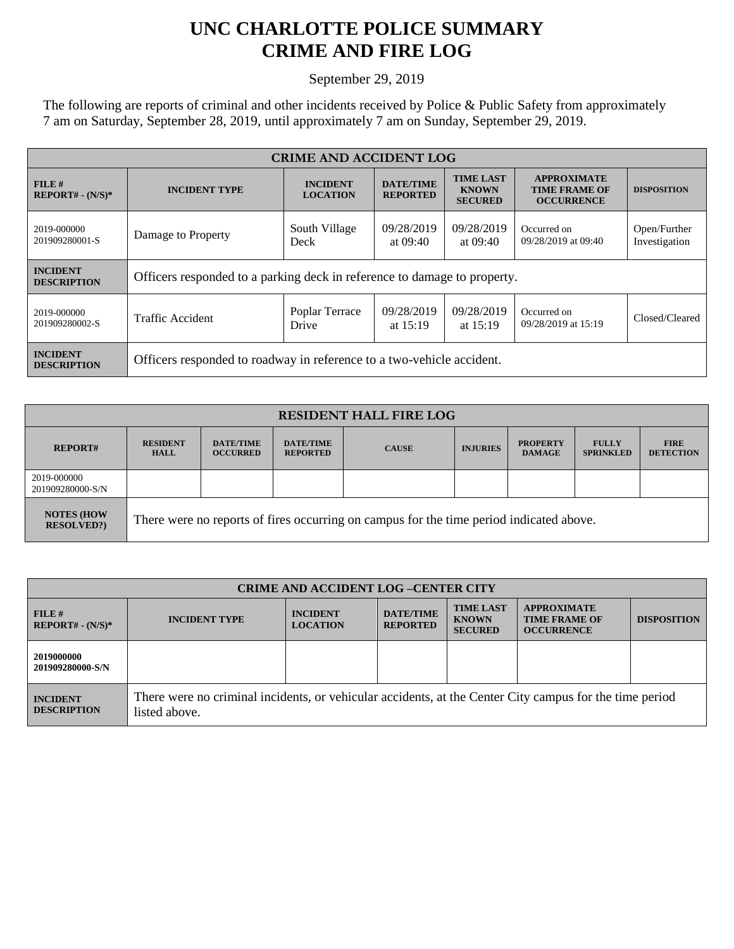## **UNC CHARLOTTE POLICE SUMMARY CRIME AND FIRE LOG**

September 29, 2019

The following are reports of criminal and other incidents received by Police & Public Safety from approximately 7 am on Saturday, September 28, 2019, until approximately 7 am on Sunday, September 29, 2019.

| <b>CRIME AND ACCIDENT LOG</b>         |                                                                          |                                    |                                     |                                                    |                                                                 |                               |
|---------------------------------------|--------------------------------------------------------------------------|------------------------------------|-------------------------------------|----------------------------------------------------|-----------------------------------------------------------------|-------------------------------|
| FILE#<br>$REPORT# - (N/S)*$           | <b>INCIDENT TYPE</b>                                                     | <b>INCIDENT</b><br><b>LOCATION</b> | <b>DATE/TIME</b><br><b>REPORTED</b> | <b>TIME LAST</b><br><b>KNOWN</b><br><b>SECURED</b> | <b>APPROXIMATE</b><br><b>TIME FRAME OF</b><br><b>OCCURRENCE</b> | <b>DISPOSITION</b>            |
| 2019-000000<br>201909280001-S         | Damage to Property                                                       | South Village<br>Deck              | 09/28/2019<br>at $09:40$            | 09/28/2019<br>at $09:40$                           | Occurred on<br>09/28/2019 at 09:40                              | Open/Further<br>Investigation |
| <b>INCIDENT</b><br><b>DESCRIPTION</b> | Officers responded to a parking deck in reference to damage to property. |                                    |                                     |                                                    |                                                                 |                               |
| 2019-000000<br>201909280002-S         | Traffic Accident                                                         | Poplar Terrace<br>Drive            | 09/28/2019<br>at $15:19$            | 09/28/2019<br>at $15:19$                           | Occurred on<br>09/28/2019 at 15:19                              | Closed/Cleared                |
| <b>INCIDENT</b><br><b>DESCRIPTION</b> | Officers responded to roadway in reference to a two-vehicle accident.    |                                    |                                     |                                                    |                                                                 |                               |

| <b>RESIDENT HALL FIRE LOG</b>         |                                                                                         |                                     |                                     |              |                 |                                  |                                  |                                 |
|---------------------------------------|-----------------------------------------------------------------------------------------|-------------------------------------|-------------------------------------|--------------|-----------------|----------------------------------|----------------------------------|---------------------------------|
| <b>REPORT#</b>                        | <b>RESIDENT</b><br><b>HALL</b>                                                          | <b>DATE/TIME</b><br><b>OCCURRED</b> | <b>DATE/TIME</b><br><b>REPORTED</b> | <b>CAUSE</b> | <b>INJURIES</b> | <b>PROPERTY</b><br><b>DAMAGE</b> | <b>FULLY</b><br><b>SPRINKLED</b> | <b>FIRE</b><br><b>DETECTION</b> |
| 2019-000000<br>201909280000-S/N       |                                                                                         |                                     |                                     |              |                 |                                  |                                  |                                 |
| <b>NOTES (HOW</b><br><b>RESOLVED?</b> | There were no reports of fires occurring on campus for the time period indicated above. |                                     |                                     |              |                 |                                  |                                  |                                 |

| <b>CRIME AND ACCIDENT LOG-CENTER CITY</b> |                                                                                                                          |                                    |                                     |                                                    |                                                                 |                    |  |
|-------------------------------------------|--------------------------------------------------------------------------------------------------------------------------|------------------------------------|-------------------------------------|----------------------------------------------------|-----------------------------------------------------------------|--------------------|--|
| FILE#<br>$REPORT# - (N/S)*$               | <b>INCIDENT TYPE</b>                                                                                                     | <b>INCIDENT</b><br><b>LOCATION</b> | <b>DATE/TIME</b><br><b>REPORTED</b> | <b>TIME LAST</b><br><b>KNOWN</b><br><b>SECURED</b> | <b>APPROXIMATE</b><br><b>TIME FRAME OF</b><br><b>OCCURRENCE</b> | <b>DISPOSITION</b> |  |
| 2019000000<br>201909280000-S/N            |                                                                                                                          |                                    |                                     |                                                    |                                                                 |                    |  |
| <b>INCIDENT</b><br><b>DESCRIPTION</b>     | There were no criminal incidents, or vehicular accidents, at the Center City campus for the time period<br>listed above. |                                    |                                     |                                                    |                                                                 |                    |  |